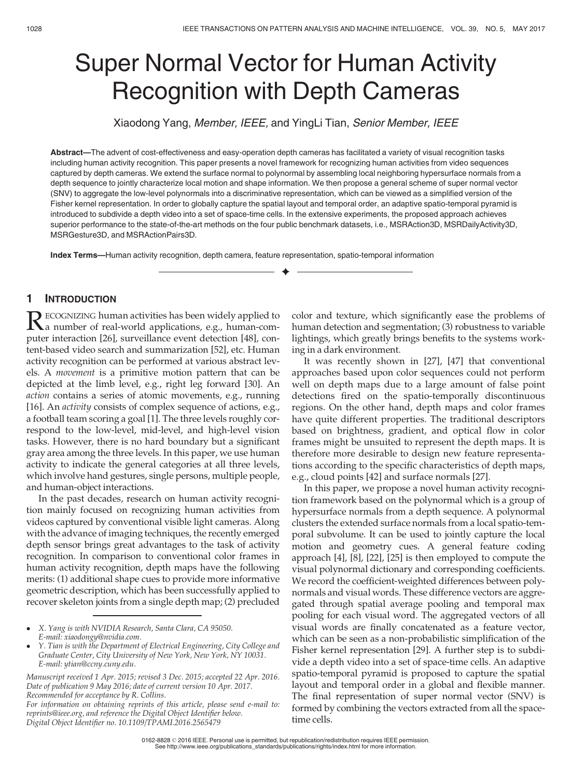# Super Normal Vector for Human Activity Recognition with Depth Cameras

Xiaodong Yang, Member, IEEE, and YingLi Tian, Senior Member, IEEE

Abstract—The advent of cost-effectiveness and easy-operation depth cameras has facilitated a variety of visual recognition tasks including human activity recognition. This paper presents a novel framework for recognizing human activities from video sequences captured by depth cameras. We extend the surface normal to polynormal by assembling local neighboring hypersurface normals from a depth sequence to jointly characterize local motion and shape information. We then propose a general scheme of super normal vector (SNV) to aggregate the low-level polynormals into a discriminative representation, which can be viewed as a simplified version of the Fisher kernel representation. In order to globally capture the spatial layout and temporal order, an adaptive spatio-temporal pyramid is introduced to subdivide a depth video into a set of space-time cells. In the extensive experiments, the proposed approach achieves superior performance to the state-of-the-art methods on the four public benchmark datasets, i.e., MSRAction3D, MSRDailyActivity3D, MSRGesture3D, and MSRActionPairs3D.

 $\bigstar$ 

Index Terms—Human activity recognition, depth camera, feature representation, spatio-temporal information

# 1 INTRODUCTION

RECOGNIZING human activities has been widely applied to<br>a number of real-world applications, e.g., human-com-<br>muter interaction [26] curreillance creat detection [28] conputer interaction [26], surveillance event detection [48], content-based video search and summarization [52], etc. Human activity recognition can be performed at various abstract levels. A movement is a primitive motion pattern that can be depicted at the limb level, e.g., right leg forward [30]. An action contains a series of atomic movements, e.g., running [16]. An activity consists of complex sequence of actions, e.g., a football team scoring a goal [1]. The three levels roughly correspond to the low-level, mid-level, and high-level vision tasks. However, there is no hard boundary but a significant gray area among the three levels. In this paper, we use human activity to indicate the general categories at all three levels, which involve hand gestures, single persons, multiple people, and human-object interactions.

In the past decades, research on human activity recognition mainly focused on recognizing human activities from videos captured by conventional visible light cameras. Along with the advance of imaging techniques, the recently emerged depth sensor brings great advantages to the task of activity recognition. In comparison to conventional color frames in human activity recognition, depth maps have the following merits: (1) additional shape cues to provide more informative geometric description, which has been successfully applied to recover skeleton joints from a single depth map; (2) precluded

Manuscript received 1 Apr. 2015; revised 3 Dec. 2015; accepted 22 Apr. 2016. Date of publication 9 May 2016; date of current version 10 Apr. 2017. Recommended for acceptance by R. Collins.

For information on obtaining reprints of this article, please send e-mail to: reprints@ieee.org, and reference the Digital Object Identifier below. Digital Object Identifier no. 10.1109/TPAMI.2016.2565479

color and texture, which significantly ease the problems of human detection and segmentation; (3) robustness to variable lightings, which greatly brings benefits to the systems working in a dark environment.

It was recently shown in [27], [47] that conventional approaches based upon color sequences could not perform well on depth maps due to a large amount of false point detections fired on the spatio-temporally discontinuous regions. On the other hand, depth maps and color frames have quite different properties. The traditional descriptors based on brightness, gradient, and optical flow in color frames might be unsuited to represent the depth maps. It is therefore more desirable to design new feature representations according to the specific characteristics of depth maps, e.g., cloud points [42] and surface normals [27].

In this paper, we propose a novel human activity recognition framework based on the polynormal which is a group of hypersurface normals from a depth sequence. A polynormal clusters the extended surface normals from a local spatio-temporal subvolume. It can be used to jointly capture the local motion and geometry cues. A general feature coding approach [4], [8], [22], [25] is then employed to compute the visual polynormal dictionary and corresponding coefficients. We record the coefficient-weighted differences between polynormals and visual words. These difference vectors are aggregated through spatial average pooling and temporal max pooling for each visual word. The aggregated vectors of all visual words are finally concatenated as a feature vector, which can be seen as a non-probabilistic simplification of the Fisher kernel representation [29]. A further step is to subdivide a depth video into a set of space-time cells. An adaptive spatio-temporal pyramid is proposed to capture the spatial layout and temporal order in a global and flexible manner. The final representation of super normal vector (SNV) is formed by combining the vectors extracted from all the spacetime cells.

0162-8828 2016 IEEE. Personal use is permitted, but republication/redistribution requires IEEE permission. See http://www.ieee.org/publications\_standards/publications/rights/index.html for more information.

X. Yang is with NVIDIA Research, Santa Clara, CA 95050. E-mail: xiaodongy@nvidia.com.

Y. Tian is with the Department of Electrical Engineering, City College and Graduate Center, City University of New York, New York, NY 10031. E-mail: ytian@ccny.cuny.edu.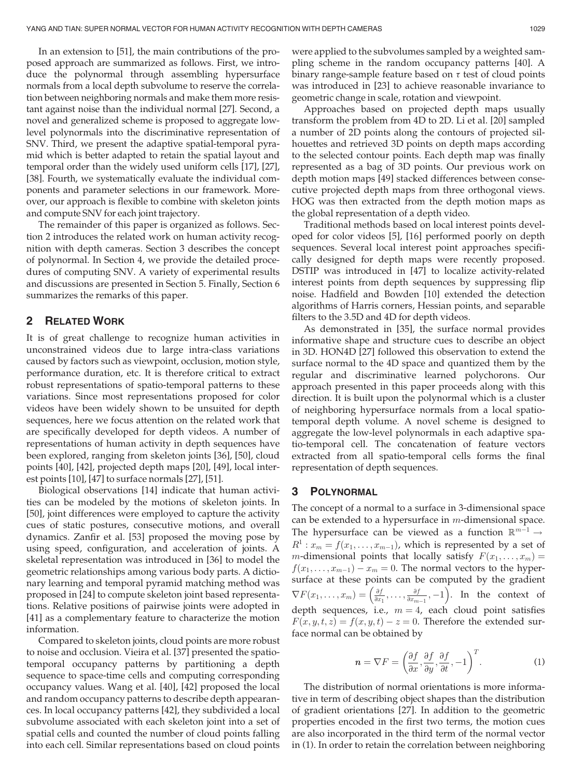In an extension to [51], the main contributions of the proposed approach are summarized as follows. First, we introduce the polynormal through assembling hypersurface normals from a local depth subvolume to reserve the correlation between neighboring normals and make them more resistant against noise than the individual normal [27]. Second, a novel and generalized scheme is proposed to aggregate lowlevel polynormals into the discriminative representation of SNV. Third, we present the adaptive spatial-temporal pyramid which is better adapted to retain the spatial layout and temporal order than the widely used uniform cells [17], [27], [38]. Fourth, we systematically evaluate the individual components and parameter selections in our framework. Moreover, our approach is flexible to combine with skeleton joints and compute SNV for each joint trajectory.

The remainder of this paper is organized as follows. Section 2 introduces the related work on human activity recognition with depth cameras. Section 3 describes the concept of polynormal. In Section 4, we provide the detailed procedures of computing SNV. A variety of experimental results and discussions are presented in Section 5. Finally, Section 6 summarizes the remarks of this paper.

## 2 RELATED WORK

It is of great challenge to recognize human activities in unconstrained videos due to large intra-class variations caused by factors such as viewpoint, occlusion, motion style, performance duration, etc. It is therefore critical to extract robust representations of spatio-temporal patterns to these variations. Since most representations proposed for color videos have been widely shown to be unsuited for depth sequences, here we focus attention on the related work that are specifically developed for depth videos. A number of representations of human activity in depth sequences have been explored, ranging from skeleton joints [36], [50], cloud points [40], [42], projected depth maps [20], [49], local interest points [10], [47] to surface normals [27], [51].

Biological observations [14] indicate that human activities can be modeled by the motions of skeleton joints. In [50], joint differences were employed to capture the activity cues of static postures, consecutive motions, and overall dynamics. Zanfir et al. [53] proposed the moving pose by using speed, configuration, and acceleration of joints. A skeletal representation was introduced in [36] to model the geometric relationships among various body parts. A dictionary learning and temporal pyramid matching method was proposed in [24] to compute skeleton joint based representations. Relative positions of pairwise joints were adopted in [41] as a complementary feature to characterize the motion information.

Compared to skeleton joints, cloud points are more robust to noise and occlusion. Vieira et al. [37] presented the spatiotemporal occupancy patterns by partitioning a depth sequence to space-time cells and computing corresponding occupancy values. Wang et al. [40], [42] proposed the local and random occupancy patterns to describe depth appearances. In local occupancy patterns [42], they subdivided a local subvolume associated with each skeleton joint into a set of spatial cells and counted the number of cloud points falling into each cell. Similar representations based on cloud points were applied to the subvolumes sampled by a weighted sampling scheme in the random occupancy patterns [40]. A binary range-sample feature based on  $\tau$  test of cloud points was introduced in [23] to achieve reasonable invariance to geometric change in scale, rotation and viewpoint.

Approaches based on projected depth maps usually transform the problem from 4D to 2D. Li et al. [20] sampled a number of 2D points along the contours of projected silhouettes and retrieved 3D points on depth maps according to the selected contour points. Each depth map was finally represented as a bag of 3D points. Our previous work on depth motion maps [49] stacked differences between consecutive projected depth maps from three orthogonal views. HOG was then extracted from the depth motion maps as the global representation of a depth video.

Traditional methods based on local interest points developed for color videos [5], [16] performed poorly on depth sequences. Several local interest point approaches specifically designed for depth maps were recently proposed. DSTIP was introduced in [47] to localize activity-related interest points from depth sequences by suppressing flip noise. Hadfield and Bowden [10] extended the detection algorithms of Harris corners, Hessian points, and separable filters to the 3.5D and 4D for depth videos.

As demonstrated in [35], the surface normal provides informative shape and structure cues to describe an object in 3D. HON4D [27] followed this observation to extend the surface normal to the 4D space and quantized them by the regular and discriminative learned polychorons. Our approach presented in this paper proceeds along with this direction. It is built upon the polynormal which is a cluster of neighboring hypersurface normals from a local spatiotemporal depth volume. A novel scheme is designed to aggregate the low-level polynormals in each adaptive spatio-temporal cell. The concatenation of feature vectors extracted from all spatio-temporal cells forms the final representation of depth sequences.

# 3 POLYNORMAL

The concept of a normal to a surface in 3-dimensional space can be extended to a hypersurface in  $m$ -dimensional space. The hypersurface can be viewed as a function  $\mathbb{R}^{m-1} \rightarrow$  $R^1: x_m = f(x_1, \ldots, x_{m-1})$ , which is represented by a set of *m*-dimensional points that locally satisfy  $F(x_1, \ldots, x_m) =$  $f(x_1, \ldots, x_{m-1}) - x_m = 0$ . The normal vectors to the hypersurface at these points can be computed by the gradient  $\nabla F(x_1, \ldots, x_m) = \left(\frac{\partial f}{\partial x_1}, \ldots, \frac{\partial f}{\partial x_{m-1}}, -1\right)$ . In the context of depth sequences, i.e.,  $m = 4$ , each cloud point satisfies  $F(x, y, t, z) = f(x, y, t) - z = 0$ . Therefore the extended surface normal can be obtained by

$$
\boldsymbol{n} = \nabla F = \left(\frac{\partial f}{\partial x}, \frac{\partial f}{\partial y}, \frac{\partial f}{\partial t}, -1\right)^T.
$$
 (1)

The distribution of normal orientations is more informative in term of describing object shapes than the distribution of gradient orientations [27]. In addition to the geometric properties encoded in the first two terms, the motion cues are also incorporated in the third term of the normal vector in (1). In order to retain the correlation between neighboring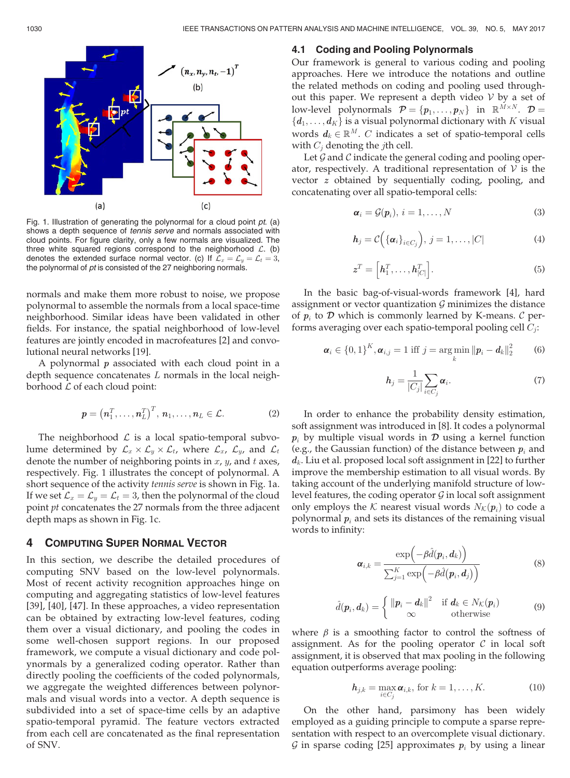

Fig. 1. Illustration of generating the polynormal for a cloud point pt. (a) shows a depth sequence of tennis serve and normals associated with cloud points. For figure clarity, only a few normals are visualized. The three white squared regions correspond to the neighborhood  $\mathcal{L}$ . (b) denotes the extended surface normal vector. (c) If  $\mathcal{L}_x = \mathcal{L}_y = \mathcal{L}_t = 3$ , the polynormal of pt is consisted of the 27 neighboring normals.

normals and make them more robust to noise, we propose polynormal to assemble the normals from a local space-time neighborhood. Similar ideas have been validated in other fields. For instance, the spatial neighborhood of low-level features are jointly encoded in macrofeatures [2] and convolutional neural networks [19].

A polynormal  $p$  associated with each cloud point in a depth sequence concatenates  $L$  normals in the local neighborhood  $L$  of each cloud point:

$$
p = \left(n_1^T, \ldots, n_L^T\right)^T, n_1, \ldots, n_L \in \mathcal{L}.
$$
 (2)

The neighborhood  $\mathcal L$  is a local spatio-temporal subvolume determined by  $\mathcal{L}_x \times \mathcal{L}_y \times \mathcal{L}_t$ , where  $\mathcal{L}_x$ ,  $\mathcal{L}_y$ , and  $\mathcal{L}_t$ denote the number of neighboring points in  $x$ ,  $y$ , and  $t$  axes, respectively. Fig. 1 illustrates the concept of polynormal. A short sequence of the activity *tennis serve* is shown in Fig. 1a. If we set  $\mathcal{L}_x = \mathcal{L}_y = \mathcal{L}_t = 3$ , then the polynormal of the cloud point pt concatenates the 27 normals from the three adjacent depth maps as shown in Fig. 1c.

## 4 COMPUTING SUPER NORMAL VECTOR

In this section, we describe the detailed procedures of computing SNV based on the low-level polynormals. Most of recent activity recognition approaches hinge on computing and aggregating statistics of low-level features [39], [40], [47]. In these approaches, a video representation can be obtained by extracting low-level features, coding them over a visual dictionary, and pooling the codes in some well-chosen support regions. In our proposed framework, we compute a visual dictionary and code polynormals by a generalized coding operator. Rather than directly pooling the coefficients of the coded polynormals, we aggregate the weighted differences between polynormals and visual words into a vector. A depth sequence is subdivided into a set of space-time cells by an adaptive spatio-temporal pyramid. The feature vectors extracted from each cell are concatenated as the final representation of SNV.

## 4.1 Coding and Pooling Polynormals

Our framework is general to various coding and pooling approaches. Here we introduce the notations and outline the related methods on coding and pooling used throughout this paper. We represent a depth video  $V$  by a set of low-level polynormals  $\mathcal{P} = \{p_1, \ldots, p_N\}$  in  $\mathbb{R}^{M \times N}$ .  $\mathcal{D} =$  $\{\boldsymbol{d}_1,\ldots,\boldsymbol{d}_K\}$  is a visual polynormal dictionary with K visual words  $d_k \in \mathbb{R}^M$ . C indicates a set of spatio-temporal cells with  $C_i$  denoting the *j*th cell.

Let  $\mathcal G$  and  $\mathcal C$  indicate the general coding and pooling operator, respectively. A traditional representation of  $V$  is the vector z obtained by sequentially coding, pooling, and concatenating over all spatio-temporal cells:

$$
\boldsymbol{\alpha}_i = \mathcal{G}(\boldsymbol{p}_i), \, i = 1, \dots, N \tag{3}
$$

$$
\boldsymbol{h}_j = \mathcal{C}\Big(\{\boldsymbol{\alpha}_i\}_{i \in C_j}\Big),\ j = 1,\ldots,|C| \tag{4}
$$

$$
\mathbf{z}^T = \left[\mathbf{h}_1^T, \dots, \mathbf{h}_{|C|}^T\right].\tag{5}
$$

In the basic bag-of-visual-words framework [4], hard assignment or vector quantization  $G$  minimizes the distance of  $p_i$  to  $\mathcal D$  which is commonly learned by K-means.  $\mathcal C$  performs averaging over each spatio-temporal pooling cell  $C_j$ :

$$
\boldsymbol{\alpha}_{i} \in \{0,1\}^{K}, \boldsymbol{\alpha}_{i,j} = 1 \text{ iff } j = \arg\min_{k} ||\boldsymbol{p}_{i} - \boldsymbol{d}_{k}||_{2}^{2} \qquad (6)
$$

$$
\boldsymbol{h}_j = \frac{1}{|C_j|} \sum_{i \in C_j} \boldsymbol{\alpha}_i.
$$
 (7)

In order to enhance the probability density estimation, soft assignment was introduced in [8]. It codes a polynormal  $p_i$  by multiple visual words in  $\mathcal D$  using a kernel function (e.g., the Gaussian function) of the distance between  $p_i$  and  $d_k$ . Liu et al. proposed local soft assignment in [22] to further improve the membership estimation to all visual words. By taking account of the underlying manifold structure of lowlevel features, the coding operator  $G$  in local soft assignment only employs the K nearest visual words  $N_{\mathcal{K}}(\boldsymbol{p}_i)$  to code a polynormal  $p_i$  and sets its distances of the remaining visual words to infinity:

$$
\boldsymbol{\alpha}_{i,k} = \frac{\exp\left(-\beta \hat{d}(\boldsymbol{p}_i, \boldsymbol{d}_k)\right)}{\sum_{j=1}^K \exp\left(-\beta \hat{d}(\boldsymbol{p}_i, \boldsymbol{d}_j)\right)}
$$
(8)

$$
\hat{d}(\boldsymbol{p}_i, \boldsymbol{d}_k) = \begin{cases} ||\boldsymbol{p}_i - \boldsymbol{d}_k||^2 & \text{if } \boldsymbol{d}_k \in N_{\mathcal{K}}(\boldsymbol{p}_i) \\ \infty & \text{otherwise} \end{cases}
$$
(9)

where  $\beta$  is a smoothing factor to control the softness of assignment. As for the pooling operator  $\mathcal C$  in local soft assignment, it is observed that max pooling in the following equation outperforms average pooling:

$$
\boldsymbol{h}_{j,k} = \max_{i \in C_j} \boldsymbol{\alpha}_{i,k}, \text{ for } k = 1, \ldots, K. \tag{10}
$$

On the other hand, parsimony has been widely employed as a guiding principle to compute a sparse representation with respect to an overcomplete visual dictionary. G in sparse coding [25] approximates  $p_i$  by using a linear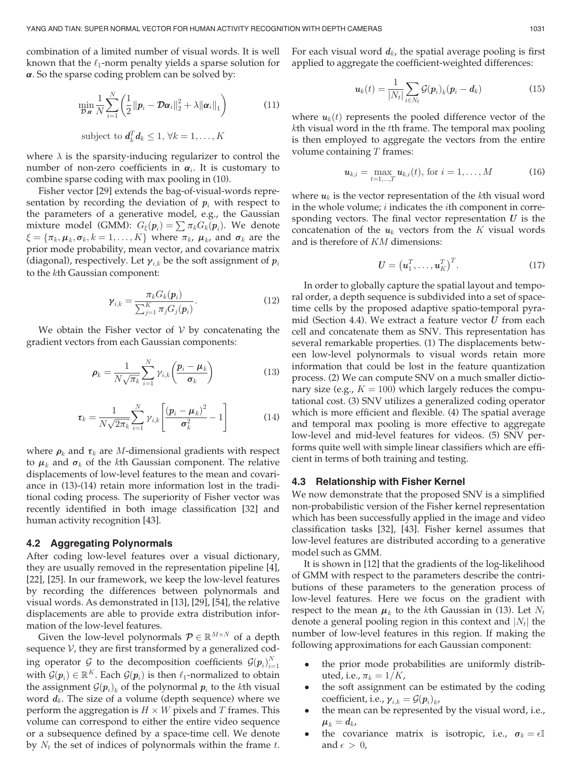combination of a limited number of visual words. It is well known that the  $\ell_1$ -norm penalty yields a sparse solution for  $\alpha$ . So the sparse coding problem can be solved by:

$$
\min_{\mathcal{D}, \alpha} \frac{1}{N} \sum_{i=1}^{N} \left( \frac{1}{2} \left\| \boldsymbol{p}_i - \mathcal{D} \boldsymbol{\alpha}_i \right\|_2^2 + \lambda \left\| \boldsymbol{\alpha}_i \right\|_1 \right) \tag{11}
$$

subject to 
$$
d_k^T d_k \leq 1, \forall k = 1, ..., K
$$

where  $\lambda$  is the sparsity-inducing regularizer to control the number of non-zero coefficients in  $\alpha_i$ . It is customary to combine sparse coding with max pooling in (10).

Fisher vector [29] extends the bag-of-visual-words representation by recording the deviation of  $p_i$  with respect to the parameters of a generative model, e.g., the Gaussian mixture model (GMM):  $G_{\xi}(\boldsymbol{p}_i) = \sum \pi_k G_k(\boldsymbol{p}_i)$ . We denote  $\xi = {\pi_k, \mu_k, \sigma_k, k = 1, \ldots, K}$  where  $\pi_k$ ,  $\mu_k$ , and  $\sigma_k$  are the prior mode probability, mean vector, and covariance matrix (diagonal), respectively. Let  $\gamma_{i,k}$  be the soft assignment of  $p_i$ to the kth Gaussian component:

$$
\gamma_{i,k} = \frac{\pi_k G_k(\boldsymbol{p}_i)}{\sum_{j=1}^K \pi_j G_j(\boldsymbol{p}_i)}.
$$
\n(12)

We obtain the Fisher vector of  $V$  by concatenating the gradient vectors from each Gaussian components:

$$
\rho_k = \frac{1}{N\sqrt{\pi_k}} \sum_{i=1}^{N} \gamma_{i,k} \left( \frac{p_i - \mu_k}{\sigma_k} \right)
$$
(13)

$$
\boldsymbol{\tau}_k = \frac{1}{N\sqrt{2\pi_k}} \sum_{i=1}^N \gamma_{i,k} \left[ \frac{(\boldsymbol{p}_i - \boldsymbol{\mu}_k)^2}{\sigma_k^2} - 1 \right]
$$
(14)

where  $\rho_k$  and  $\tau_k$  are *M*-dimensional gradients with respect to  $\mu_k$  and  $\sigma_k$  of the kth Gaussian component. The relative displacements of low-level features to the mean and covariance in (13)-(14) retain more information lost in the traditional coding process. The superiority of Fisher vector was recently identified in both image classification [32] and human activity recognition [43].

#### 4.2 Aggregating Polynormals

After coding low-level features over a visual dictionary, they are usually removed in the representation pipeline [4], [22], [25]. In our framework, we keep the low-level features by recording the differences between polynormals and visual words. As demonstrated in [13], [29], [54], the relative displacements are able to provide extra distribution information of the low-level features.

Given the low-level polynormals  $\mathcal{P} \in \mathbb{R}^{M \times N}$  of a depth sequence  $V$ , they are first transformed by a generalized coding operator G to the decomposition coefficients  $\mathcal{G}(p_i)_{i=1}^N$ with  $\mathcal{G}(p_i) \in \mathbb{R}^K$ . Each  $\mathcal{G}(p_i)$  is then  $\ell_1$ -normalized to obtain the assignment  $\mathcal{G}(p_i)_k$  of the polynormal  $p_i$  to the kth visual word  $d_k$ . The size of a volume (depth sequence) where we perform the aggregation is  $H \times W$  pixels and T frames. This volume can correspond to either the entire video sequence or a subsequence defined by a space-time cell. We denote by  $N_t$  the set of indices of polynormals within the frame  $t$ . For each visual word  $d_k$ , the spatial average pooling is first applied to aggregate the coefficient-weighted differences:

$$
\boldsymbol{u}_k(t) = \frac{1}{|N_t|} \sum_{i \in N_t} \mathcal{G}(\boldsymbol{p}_i)_k (\boldsymbol{p}_i - \boldsymbol{d}_k)
$$
(15)

where  $u_k(t)$  represents the pooled difference vector of the kth visual word in the tth frame. The temporal max pooling is then employed to aggregate the vectors from the entire volume containing  $T$  frames:

$$
\mathbf{u}_{k,i} = \max_{t=1,\dots,T} \mathbf{u}_{k,i}(t), \text{ for } i = 1,\dots,M
$$
 (16)

where  $u_k$  is the vector representation of the kth visual word in the whole volume; i indicates the ith component in corresponding vectors. The final vector representation  $U$  is the concatenation of the  $u_k$  vectors from the K visual words and is therefore of KM dimensions:

$$
\boldsymbol{U} = \left(\boldsymbol{u}_1^T, \dots, \boldsymbol{u}_K^T\right)^T. \tag{17}
$$

In order to globally capture the spatial layout and temporal order, a depth sequence is subdivided into a set of spacetime cells by the proposed adaptive spatio-temporal pyramid (Section 4.4). We extract a feature vector  $U$  from each cell and concatenate them as SNV. This representation has several remarkable properties. (1) The displacements between low-level polynormals to visual words retain more information that could be lost in the feature quantization process. (2) We can compute SNV on a much smaller dictionary size (e.g.,  $K = 100$ ) which largely reduces the computational cost. (3) SNV utilizes a generalized coding operator which is more efficient and flexible. (4) The spatial average and temporal max pooling is more effective to aggregate low-level and mid-level features for videos. (5) SNV performs quite well with simple linear classifiers which are efficient in terms of both training and testing.

#### 4.3 Relationship with Fisher Kernel

We now demonstrate that the proposed SNV is a simplified non-probabilistic version of the Fisher kernel representation which has been successfully applied in the image and video classification tasks [32], [43]. Fisher kernel assumes that low-level features are distributed according to a generative model such as GMM.

It is shown in [12] that the gradients of the log-likelihood of GMM with respect to the parameters describe the contributions of these parameters to the generation process of low-level features. Here we focus on the gradient with respect to the mean  $\mu_k$  to the kth Gaussian in (13). Let  $N_t$ denote a general pooling region in this context and  $|N_t|$  the number of low-level features in this region. If making the following approximations for each Gaussian component:

- the prior mode probabilities are uniformly distributed, i.e.,  $\pi_k = 1/K$ ,
- the soft assignment can be estimated by the coding coefficient, i.e.,  $\gamma_{i,k} = \mathcal{G}(\mathbf{p}_i)_{k}$ ,
- the mean can be represented by the visual word, i.e.,  $\mu_k = d_k$
- the covariance matrix is isotropic, i.e.,  $\sigma_k = \epsilon \mathbb{I}$ and  $\epsilon > 0$ ,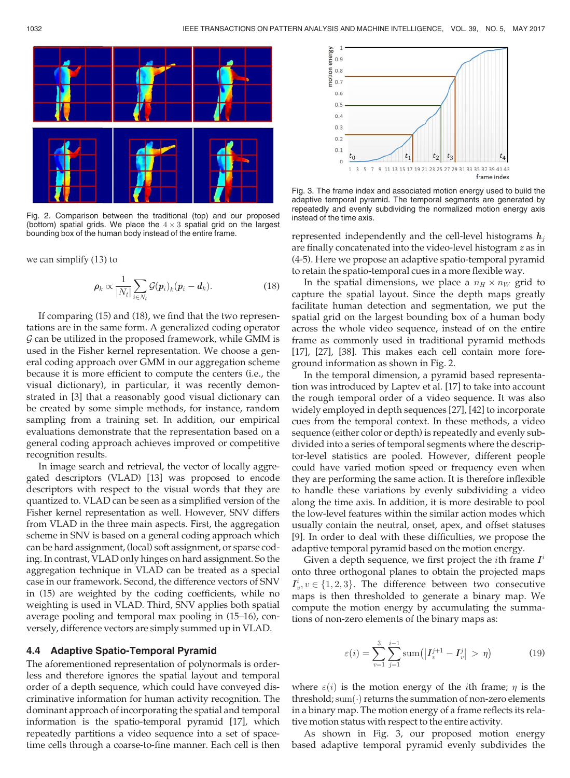

Fig. 2. Comparison between the traditional (top) and our proposed (bottom) spatial grids. We place the  $4 \times 3$  spatial grid on the largest bounding box of the human body instead of the entire frame.

we can simplify (13) to

$$
\rho_k \propto \frac{1}{|N_t|} \sum_{i \in N_t} \mathcal{G}(\boldsymbol{p}_i)_k (\boldsymbol{p}_i - \boldsymbol{d}_k).
$$
 (18)

If comparing (15) and (18), we find that the two representations are in the same form. A generalized coding operator  $G$  can be utilized in the proposed framework, while GMM is used in the Fisher kernel representation. We choose a general coding approach over GMM in our aggregation scheme because it is more efficient to compute the centers (i.e., the visual dictionary), in particular, it was recently demonstrated in [3] that a reasonably good visual dictionary can be created by some simple methods, for instance, random sampling from a training set. In addition, our empirical evaluations demonstrate that the representation based on a general coding approach achieves improved or competitive recognition results.

In image search and retrieval, the vector of locally aggregated descriptors (VLAD) [13] was proposed to encode descriptors with respect to the visual words that they are quantized to. VLAD can be seen as a simplified version of the Fisher kernel representation as well. However, SNV differs from VLAD in the three main aspects. First, the aggregation scheme in SNV is based on a general coding approach which can be hard assignment, (local) soft assignment, or sparse coding. In contrast, VLAD only hinges on hard assignment. So the aggregation technique in VLAD can be treated as a special case in our framework. Second, the difference vectors of SNV in (15) are weighted by the coding coefficients, while no weighting is used in VLAD. Third, SNV applies both spatial average pooling and temporal max pooling in (15–16), conversely, difference vectors are simply summed up in VLAD.

#### 4.4 Adaptive Spatio-Temporal Pyramid

The aforementioned representation of polynormals is orderless and therefore ignores the spatial layout and temporal order of a depth sequence, which could have conveyed discriminative information for human activity recognition. The dominant approach of incorporating the spatial and temporal information is the spatio-temporal pyramid [17], which repeatedly partitions a video sequence into a set of spacetime cells through a coarse-to-fine manner. Each cell is then



Fig. 3. The frame index and associated motion energy used to build the adaptive temporal pyramid. The temporal segments are generated by repeatedly and evenly subdividing the normalized motion energy axis instead of the time axis.

represented independently and the cell-level histograms  $h_i$ are finally concatenated into the video-level histogram z as in (4-5). Here we propose an adaptive spatio-temporal pyramid to retain the spatio-temporal cues in a more flexible way.

In the spatial dimensions, we place a  $n_H \times n_W$  grid to capture the spatial layout. Since the depth maps greatly facilitate human detection and segmentation, we put the spatial grid on the largest bounding box of a human body across the whole video sequence, instead of on the entire frame as commonly used in traditional pyramid methods [17], [27], [38]. This makes each cell contain more foreground information as shown in Fig. 2.

In the temporal dimension, a pyramid based representation was introduced by Laptev et al. [17] to take into account the rough temporal order of a video sequence. It was also widely employed in depth sequences [27], [42] to incorporate cues from the temporal context. In these methods, a video sequence (either color or depth) is repeatedly and evenly subdivided into a series of temporal segments where the descriptor-level statistics are pooled. However, different people could have varied motion speed or frequency even when they are performing the same action. It is therefore inflexible to handle these variations by evenly subdividing a video along the time axis. In addition, it is more desirable to pool the low-level features within the similar action modes which usually contain the neutral, onset, apex, and offset statuses [9]. In order to deal with these difficulties, we propose the adaptive temporal pyramid based on the motion energy.

Given a depth sequence, we first project the *i*th frame  $I^i$ onto three orthogonal planes to obtain the projected maps  $I_v^i, v \in \{1, 2, 3\}$ . The difference between two consecutive<br>mans is then thresholded to generate a hinary man. We maps is then thresholded to generate a binary map. We compute the motion energy by accumulating the summations of non-zero elements of the binary maps as:

$$
\varepsilon(i) = \sum_{v=1}^{3} \sum_{j=1}^{i-1} \text{sum} \left( \left| I_v^{j+1} - I_v^j \right| > \eta \right) \tag{19}
$$

where  $\varepsilon(i)$  is the motion energy of the *i*th frame;  $\eta$  is the threshold; sum $(\cdot)$  returns the summation of non-zero elements in a binary map. The motion energy of a frame reflects its relative motion status with respect to the entire activity.

As shown in Fig. 3, our proposed motion energy based adaptive temporal pyramid evenly subdivides the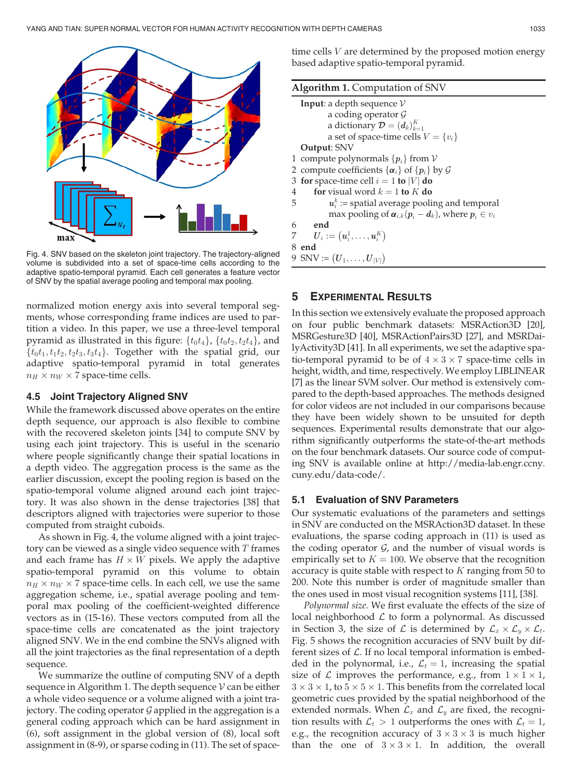

Fig. 4. SNV based on the skeleton joint trajectory. The trajectory-aligned volume is subdivided into a set of space-time cells according to the adaptive spatio-temporal pyramid. Each cell generates a feature vector of SNV by the spatial average pooling and temporal max pooling.

normalized motion energy axis into several temporal segments, whose corresponding frame indices are used to partition a video. In this paper, we use a three-level temporal pyramid as illustrated in this figure:  $\{t_0t_4\}$ ,  $\{t_0t_2, t_2t_4\}$ , and  $\{t_0t_1, t_1t_2, t_2t_3, t_3t_4\}$ . Together with the spatial grid, our adaptive spatio-temporal pyramid in total generates  $n_H \times n_W \times 7$  space-time cells.

## 4.5 Joint Trajectory Aligned SNV

While the framework discussed above operates on the entire depth sequence, our approach is also flexible to combine with the recovered skeleton joints [34] to compute SNV by using each joint trajectory. This is useful in the scenario where people significantly change their spatial locations in a depth video. The aggregation process is the same as the earlier discussion, except the pooling region is based on the spatio-temporal volume aligned around each joint trajectory. It was also shown in the dense trajectories [38] that descriptors aligned with trajectories were superior to those computed from straight cuboids.

As shown in Fig. 4, the volume aligned with a joint trajectory can be viewed as a single video sequence with  $T$  frames and each frame has  $H \times W$  pixels. We apply the adaptive spatio-temporal pyramid on this volume to obtain  $n_H \times n_W \times 7$  space-time cells. In each cell, we use the same aggregation scheme, i.e., spatial average pooling and temporal max pooling of the coefficient-weighted difference vectors as in (15-16). These vectors computed from all the space-time cells are concatenated as the joint trajectory aligned SNV. We in the end combine the SNVs aligned with all the joint trajectories as the final representation of a depth sequence.

We summarize the outline of computing SNV of a depth sequence in Algorithm 1. The depth sequence  $\mathcal V$  can be either a whole video sequence or a volume aligned with a joint trajectory. The coding operator  $G$  applied in the aggregation is a general coding approach which can be hard assignment in (6), soft assignment in the global version of (8), local soft assignment in (8-9), or sparse coding in (11). The set of spacetime cells V are determined by the proposed motion energy based adaptive spatio-temporal pyramid.

| <b>Algorithm 1.</b> Computation of SNV |                                                                    |  |
|----------------------------------------|--------------------------------------------------------------------|--|
|                                        | <b>Input:</b> a depth sequence $V$                                 |  |
|                                        | a coding operator $\mathcal G$                                     |  |
|                                        | a dictionary $\mathcal{D} = (d_k)_{k=1}^K$                         |  |
|                                        | a set of space-time cells $V = \{v_i\}$                            |  |
|                                        | <b>Output: SNV</b>                                                 |  |
|                                        | 1 compute polynormals $\{p_i\}$ from $V$                           |  |
|                                        | 2 compute coefficients $\{\alpha_i\}$ of $\{p_i\}$ by $\mathcal G$ |  |
|                                        | 3 for space-time cell $i = 1$ to  V  do                            |  |
| 4                                      | for visual word $k = 1$ to K do                                    |  |
| 5                                      | $u_i^k$ : = spatial average pooling and temporal                   |  |
|                                        | max pooling of $\alpha_{i,k}(p_i - d_k)$ , where $p_i \in v_i$     |  |
| 6                                      | end                                                                |  |
|                                        | $\bm{U}_i := (\bm{u}_i^1, \dots, \bm{u}_i^K)$                      |  |
|                                        | 8 end                                                              |  |
|                                        | 9 SNV := $(U_1, \ldots, U_{ V })$                                  |  |

# 5 EXPERIMENTAL RESULTS

In this section we extensively evaluate the proposed approach on four public benchmark datasets: MSRAction3D [20], MSRGesture3D [40], MSRActionPairs3D [27], and MSRDailyActivity3D [41]. In all experiments, we set the adaptive spatio-temporal pyramid to be of  $4 \times 3 \times 7$  space-time cells in height, width, and time, respectively. We employ LIBLINEAR [7] as the linear SVM solver. Our method is extensively compared to the depth-based approaches. The methods designed for color videos are not included in our comparisons because they have been widely shown to be unsuited for depth sequences. Experimental results demonstrate that our algorithm significantly outperforms the state-of-the-art methods on the four benchmark datasets. Our source code of computing SNV is available online at http://media-lab.engr.ccny. cuny.edu/data-code/.

## 5.1 Evaluation of SNV Parameters

Our systematic evaluations of the parameters and settings in SNV are conducted on the MSRAction3D dataset. In these evaluations, the sparse coding approach in (11) is used as the coding operator  $G$ , and the number of visual words is empirically set to  $K = 100$ . We observe that the recognition accuracy is quite stable with respect to  $K$  ranging from 50 to 200. Note this number is order of magnitude smaller than the ones used in most visual recognition systems [11], [38].

Polynormal size. We first evaluate the effects of the size of local neighborhood  $\mathcal L$  to form a polynormal. As discussed in Section 3, the size of  $\mathcal L$  is determined by  $\mathcal L_x \times \mathcal L_y \times \mathcal L_t$ . Fig. 5 shows the recognition accuracies of SNV built by different sizes of  $\mathcal L$ . If no local temporal information is embedded in the polynormal, i.e.,  $\mathcal{L}_t = 1$ , increasing the spatial size of  $\mathcal L$  improves the performance, e.g., from  $1 \times 1 \times 1$ ,  $3 \times 3 \times 1$ , to  $5 \times 5 \times 1$ . This benefits from the correlated local geometric cues provided by the spatial neighborhood of the extended normals. When  $\mathcal{L}_x$  and  $\mathcal{L}_y$  are fixed, the recognition results with  $\mathcal{L}_t > 1$  outperforms the ones with  $\mathcal{L}_t = 1$ , e.g., the recognition accuracy of  $3 \times 3 \times 3$  is much higher than the one of  $3 \times 3 \times 1$ . In addition, the overall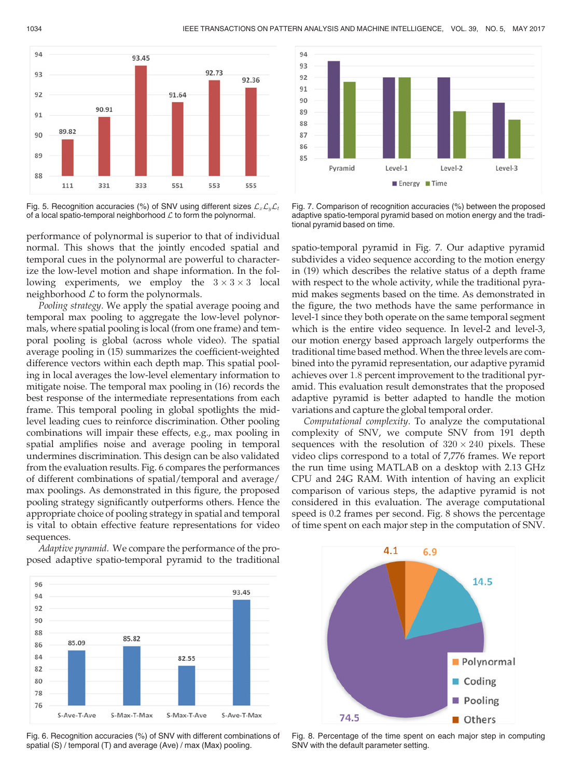

Fig. 5. Recognition accuracies (%) of SNV using different sizes  $\mathcal{L}_x\mathcal{L}_y\mathcal{L}_t$ of a local spatio-temporal neighborhood  $\mathcal L$  to form the polynormal.

performance of polynormal is superior to that of individual normal. This shows that the jointly encoded spatial and temporal cues in the polynormal are powerful to characterize the low-level motion and shape information. In the following experiments, we employ the  $3 \times 3 \times 3$  local neighborhood  $\mathcal L$  to form the polynormals.

Pooling strategy. We apply the spatial average pooing and temporal max pooling to aggregate the low-level polynormals, where spatial pooling is local (from one frame) and temporal pooling is global (across whole video). The spatial average pooling in (15) summarizes the coefficient-weighted difference vectors within each depth map. This spatial pooling in local averages the low-level elementary information to mitigate noise. The temporal max pooling in (16) records the best response of the intermediate representations from each frame. This temporal pooling in global spotlights the midlevel leading cues to reinforce discrimination. Other pooling combinations will impair these effects, e.g., max pooling in spatial amplifies noise and average pooling in temporal undermines discrimination. This design can be also validated from the evaluation results. Fig. 6 compares the performances of different combinations of spatial/temporal and average/ max poolings. As demonstrated in this figure, the proposed pooling strategy significantly outperforms others. Hence the appropriate choice of pooling strategy in spatial and temporal is vital to obtain effective feature representations for video sequences.

Adaptive pyramid. We compare the performance of the proposed adaptive spatio-temporal pyramid to the traditional



Fig. 6. Recognition accuracies (%) of SNV with different combinations of spatial (S) / temporal (T) and average (Ave) / max (Max) pooling.



Fig. 7. Comparison of recognition accuracies (%) between the proposed adaptive spatio-temporal pyramid based on motion energy and the traditional pyramid based on time.

spatio-temporal pyramid in Fig. 7. Our adaptive pyramid subdivides a video sequence according to the motion energy in (19) which describes the relative status of a depth frame with respect to the whole activity, while the traditional pyramid makes segments based on the time. As demonstrated in the figure, the two methods have the same performance in level-1 since they both operate on the same temporal segment which is the entire video sequence. In level-2 and level-3, our motion energy based approach largely outperforms the traditional time based method. When the three levels are combined into the pyramid representation, our adaptive pyramid achieves over 1:8 percent improvement to the traditional pyramid. This evaluation result demonstrates that the proposed adaptive pyramid is better adapted to handle the motion variations and capture the global temporal order.

Computational complexity. To analyze the computational complexity of SNV, we compute SNV from 191 depth sequences with the resolution of  $320 \times 240$  pixels. These video clips correspond to a total of 7,776 frames. We report the run time using MATLAB on a desktop with 2.13 GHz CPU and 24G RAM. With intention of having an explicit comparison of various steps, the adaptive pyramid is not considered in this evaluation. The average computational speed is 0.2 frames per second. Fig. 8 shows the percentage of time spent on each major step in the computation of SNV.



Fig. 8. Percentage of the time spent on each major step in computing SNV with the default parameter setting.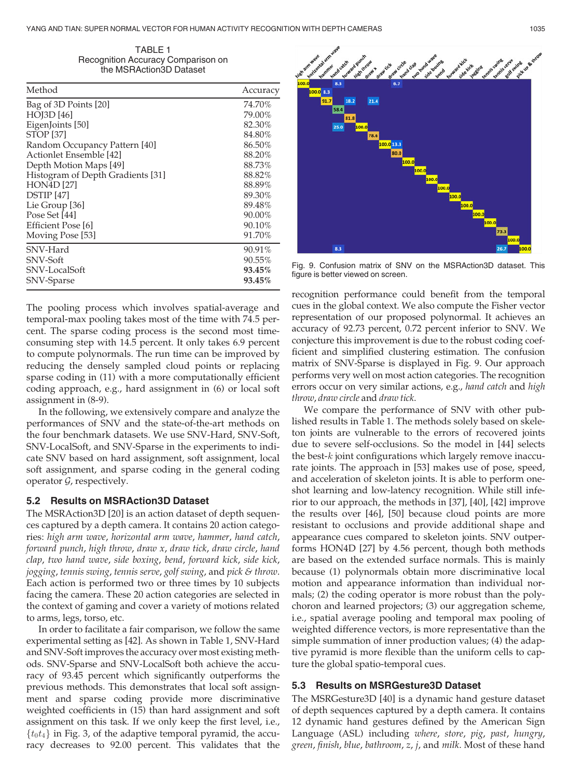TABLE 1 Recognition Accuracy Comparison on the MSRAction3D Dataset

| Method                            | Accuracy |
|-----------------------------------|----------|
| Bag of 3D Points [20]             | 74.70%   |
| <b>HOJ3D</b> [46]                 | 79.00%   |
| EigenJoints [50]                  | 82.30%   |
| <b>STOP</b> [37]                  | 84.80%   |
| Random Occupancy Pattern [40]     | 86.50%   |
| Actionlet Ensemble [42]           | 88.20%   |
| Depth Motion Maps [49]            | 88.73%   |
| Histogram of Depth Gradients [31] | 88.82%   |
| <b>HON4D</b> [27]                 | 88.89%   |
| <b>DSTIP</b> [47]                 | 89.30%   |
| Lie Group [36]                    | 89.48%   |
| Pose Set [44]                     | 90.00%   |
| Efficient Pose [6]                | 90.10%   |
| Moving Pose [53]                  | 91.70%   |
| SNV-Hard                          | 90.91%   |
| SNV-Soft                          | 90.55%   |
| SNV-LocalSoft                     | 93.45%   |
| SNV-Sparse                        | 93.45%   |

The pooling process which involves spatial-average and temporal-max pooling takes most of the time with 74.5 percent. The sparse coding process is the second most timeconsuming step with 14.5 percent. It only takes 6.9 percent to compute polynormals. The run time can be improved by reducing the densely sampled cloud points or replacing sparse coding in (11) with a more computationally efficient coding approach, e.g., hard assignment in (6) or local soft assignment in (8-9).

In the following, we extensively compare and analyze the performances of SNV and the state-of-the-art methods on the four benchmark datasets. We use SNV-Hard, SNV-Soft, SNV-LocalSoft, and SNV-Sparse in the experiments to indicate SNV based on hard assignment, soft assignment, local soft assignment, and sparse coding in the general coding operator  $G$ , respectively.

## 5.2 Results on MSRAction3D Dataset

The MSRAction3D [20] is an action dataset of depth sequences captured by a depth camera. It contains 20 action categories: high arm wave, horizontal arm wave, hammer, hand catch, forward punch, high throw, draw x, draw tick, draw circle, hand clap, two hand wave, side boxing, bend, forward kick, side kick, jogging, tennis swing, tennis serve, golf swing, and pick & throw. Each action is performed two or three times by 10 subjects facing the camera. These 20 action categories are selected in the context of gaming and cover a variety of motions related to arms, legs, torso, etc.

In order to facilitate a fair comparison, we follow the same experimental setting as [42]. As shown in Table 1, SNV-Hard and SNV-Soft improves the accuracy over most existing methods. SNV-Sparse and SNV-LocalSoft both achieve the accuracy of 93.45 percent which significantly outperforms the previous methods. This demonstrates that local soft assignment and sparse coding provide more discriminative weighted coefficients in (15) than hard assignment and soft assignment on this task. If we only keep the first level, i.e.,  $\{t_0t_4\}$  in Fig. 3, of the adaptive temporal pyramid, the accuracy decreases to 92.00 percent. This validates that the



Fig. 9. Confusion matrix of SNV on the MSRAction3D dataset. This figure is better viewed on screen.

recognition performance could benefit from the temporal cues in the global context. We also compute the Fisher vector representation of our proposed polynormal. It achieves an accuracy of 92.73 percent, 0.72 percent inferior to SNV. We conjecture this improvement is due to the robust coding coefficient and simplified clustering estimation. The confusion matrix of SNV-Sparse is displayed in Fig. 9. Our approach performs very well on most action categories. The recognition errors occur on very similar actions, e.g., hand catch and high throw, draw circle and draw tick.

We compare the performance of SNV with other published results in Table 1. The methods solely based on skeleton joints are vulnerable to the errors of recovered joints due to severe self-occlusions. So the model in [44] selects the best-k joint configurations which largely remove inaccurate joints. The approach in [53] makes use of pose, speed, and acceleration of skeleton joints. It is able to perform oneshot learning and low-latency recognition. While still inferior to our approach, the methods in [37], [40], [42] improve the results over [46], [50] because cloud points are more resistant to occlusions and provide additional shape and appearance cues compared to skeleton joints. SNV outperforms HON4D [27] by 4.56 percent, though both methods are based on the extended surface normals. This is mainly because (1) polynormals obtain more discriminative local motion and appearance information than individual normals; (2) the coding operator is more robust than the polychoron and learned projectors; (3) our aggregation scheme, i.e., spatial average pooling and temporal max pooling of weighted difference vectors, is more representative than the simple summation of inner production values; (4) the adaptive pyramid is more flexible than the uniform cells to capture the global spatio-temporal cues.

## 5.3 Results on MSRGesture3D Dataset

The MSRGesture3D [40] is a dynamic hand gesture dataset of depth sequences captured by a depth camera. It contains 12 dynamic hand gestures defined by the American Sign Language (ASL) including where, store, pig, past, hungry, green, finish, blue, bathroom, z, j, and milk. Most of these hand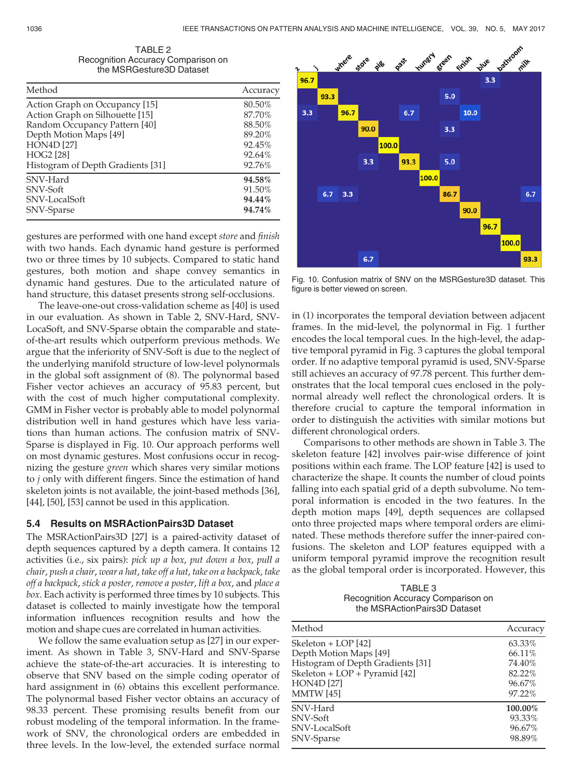| TABLE 2                            |  |
|------------------------------------|--|
| Recognition Accuracy Comparison on |  |
| the MSRGesture3D Dataset           |  |

| Method                            | Accuracy |
|-----------------------------------|----------|
| Action Graph on Occupancy [15]    | 80.50%   |
| Action Graph on Silhouette [15]   | 87.70%   |
| Random Occupancy Pattern [40]     | 88.50%   |
| Depth Motion Maps [49]            | 89.20%   |
| <b>HON4D [27]</b>                 | 92.45%   |
| <b>HOG2</b> [28]                  | 92.64%   |
| Histogram of Depth Gradients [31] | 92.76%   |
| SNV-Hard                          | 94.58%   |
| SNV-Soft                          | 91.50%   |
| SNV-LocalSoft                     | 94.44%   |
| SNV-Sparse                        | 94.74%   |

gestures are performed with one hand except store and finish with two hands. Each dynamic hand gesture is performed two or three times by 10 subjects. Compared to static hand gestures, both motion and shape convey semantics in dynamic hand gestures. Due to the articulated nature of hand structure, this dataset presents strong self-occlusions.

The leave-one-out cross-validation scheme as [40] is used in our evaluation. As shown in Table 2, SNV-Hard, SNV-LocaSoft, and SNV-Sparse obtain the comparable and stateof-the-art results which outperform previous methods. We argue that the inferiority of SNV-Soft is due to the neglect of the underlying manifold structure of low-level polynormals in the global soft assignment of (8). The polynormal based Fisher vector achieves an accuracy of 95.83 percent, but with the cost of much higher computational complexity. GMM in Fisher vector is probably able to model polynormal distribution well in hand gestures which have less variations than human actions. The confusion matrix of SNV-Sparse is displayed in Fig. 10. Our approach performs well on most dynamic gestures. Most confusions occur in recognizing the gesture green which shares very similar motions to j only with different fingers. Since the estimation of hand skeleton joints is not available, the joint-based methods [36], [44], [50], [53] cannot be used in this application.

## 5.4 Results on MSRActionPairs3D Dataset

The MSRActionPairs3D [27] is a paired-activity dataset of depth sequences captured by a depth camera. It contains 12 activities (i.e., six pairs): pick up a box, put down a box, pull a chair, push a chair, wear a hat, take off a hat, take on a backpack, take off a backpack, stick a poster, remove a poster, lift a box, and place a box. Each activity is performed three times by 10 subjects. This dataset is collected to mainly investigate how the temporal information influences recognition results and how the motion and shape cues are correlated in human activities.

We follow the same evaluation setup as [27] in our experiment. As shown in Table 3, SNV-Hard and SNV-Sparse achieve the state-of-the-art accuracies. It is interesting to observe that SNV based on the simple coding operator of hard assignment in  $(6)$  obtains this excellent performance. The polynormal based Fisher vector obtains an accuracy of 98.33 percent. These promising results benefit from our robust modeling of the temporal information. In the framework of SNV, the chronological orders are embedded in three levels. In the low-level, the extended surface normal



Fig. 10. Confusion matrix of SNV on the MSRGesture3D dataset. This figure is better viewed on screen.

in (1) incorporates the temporal deviation between adjacent frames. In the mid-level, the polynormal in Fig. 1 further encodes the local temporal cues. In the high-level, the adaptive temporal pyramid in Fig. 3 captures the global temporal order. If no adaptive temporal pyramid is used, SNV-Sparse still achieves an accuracy of 97.78 percent. This further demonstrates that the local temporal cues enclosed in the polynormal already well reflect the chronological orders. It is therefore crucial to capture the temporal information in order to distinguish the activities with similar motions but different chronological orders.

Comparisons to other methods are shown in Table 3. The skeleton feature [42] involves pair-wise difference of joint positions within each frame. The LOP feature [42] is used to characterize the shape. It counts the number of cloud points falling into each spatial grid of a depth subvolume. No temporal information is encoded in the two features. In the depth motion maps [49], depth sequences are collapsed onto three projected maps where temporal orders are eliminated. These methods therefore suffer the inner-paired confusions. The skeleton and LOP features equipped with a uniform temporal pyramid improve the recognition result as the global temporal order is incorporated. However, this

TABLE 3 Recognition Accuracy Comparison on the MSRActionPairs3D Dataset

| Method                            | Accuracy |
|-----------------------------------|----------|
| Skeleton + LOP [42]               | 63.33%   |
| Depth Motion Maps [49]            | 66.11%   |
| Histogram of Depth Gradients [31] | 74.40%   |
| Skeleton + LOP + Pyramid [42]     | 82.22%   |
| <b>HON4D [27]</b>                 | 96.67%   |
| <b>MMTW</b> [45]                  | 97.22%   |
| SNV-Hard                          | 100.00%  |
| SNV-Soft                          | 93.33%   |
| SNV-LocalSoft                     | 96.67%   |
| SNV-Sparse                        | 98.89%   |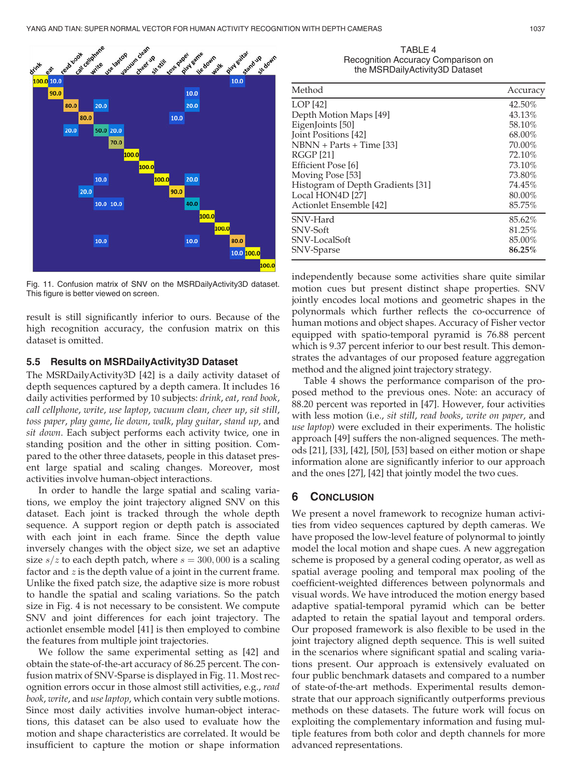

Fig. 11. Confusion matrix of SNV on the MSRDailyActivity3D dataset. This figure is better viewed on screen.

result is still significantly inferior to ours. Because of the high recognition accuracy, the confusion matrix on this dataset is omitted.

#### 5.5 Results on MSRDailyActivity3D Dataset

The MSRDailyActivity3D [42] is a daily activity dataset of depth sequences captured by a depth camera. It includes 16 daily activities performed by 10 subjects: drink, eat, read book, call cellphone, write, use laptop, vacuum clean, cheer up, sit still, toss paper, play game, lie down, walk, play guitar, stand up, and sit down. Each subject performs each activity twice, one in standing position and the other in sitting position. Compared to the other three datasets, people in this dataset present large spatial and scaling changes. Moreover, most activities involve human-object interactions.

In order to handle the large spatial and scaling variations, we employ the joint trajectory aligned SNV on this dataset. Each joint is tracked through the whole depth sequence. A support region or depth patch is associated with each joint in each frame. Since the depth value inversely changes with the object size, we set an adaptive size  $s/z$  to each depth patch, where  $s = 300,000$  is a scaling factor and  $z$  is the depth value of a joint in the current frame. Unlike the fixed patch size, the adaptive size is more robust to handle the spatial and scaling variations. So the patch size in Fig. 4 is not necessary to be consistent. We compute SNV and joint differences for each joint trajectory. The actionlet ensemble model [41] is then employed to combine the features from multiple joint trajectories.

We follow the same experimental setting as [42] and obtain the state-of-the-art accuracy of 86.25 percent. The confusion matrix of SNV-Sparse is displayed in Fig. 11. Most recognition errors occur in those almost still activities, e.g., read book, write, and use laptop, which contain very subtle motions. Since most daily activities involve human-object interactions, this dataset can be also used to evaluate how the motion and shape characteristics are correlated. It would be insufficient to capture the motion or shape information

| TABLE 4                            |
|------------------------------------|
| Recognition Accuracy Comparison on |
| the MSRDailyActivity3D Dataset     |

| Method                            | Accuracy |
|-----------------------------------|----------|
| LOP [42]                          | 42.50%   |
| Depth Motion Maps [49]            | 43.13%   |
| EigenJoints [50]                  | 58.10%   |
| Joint Positions [42]              | 68.00%   |
| NBNN + Parts + Time [33]          | 70.00%   |
| RGGP [21]                         | 72.10%   |
| Efficient Pose [6]                | 73.10%   |
| Moving Pose [53]                  | 73.80%   |
| Histogram of Depth Gradients [31] | 74.45%   |
| Local HON4D [27]                  | 80.00%   |
| Actionlet Ensemble [42]           | 85.75%   |
| SNV-Hard                          | 85.62%   |
| SNV-Soft                          | 81.25%   |
| SNV-LocalSoft                     | 85.00%   |
| SNV-Sparse                        | 86.25%   |

independently because some activities share quite similar motion cues but present distinct shape properties. SNV jointly encodes local motions and geometric shapes in the polynormals which further reflects the co-occurrence of human motions and object shapes. Accuracy of Fisher vector equipped with spatio-temporal pyramid is 76.88 percent which is 9.37 percent inferior to our best result. This demonstrates the advantages of our proposed feature aggregation method and the aligned joint trajectory strategy.

Table 4 shows the performance comparison of the proposed method to the previous ones. Note: an accuracy of 88.20 percent was reported in [47]. However, four activities with less motion (i.e., sit still, read books, write on paper, and use laptop) were excluded in their experiments. The holistic approach [49] suffers the non-aligned sequences. The methods [21], [33], [42], [50], [53] based on either motion or shape information alone are significantly inferior to our approach and the ones [27], [42] that jointly model the two cues.

# 6 CONCLUSION

We present a novel framework to recognize human activities from video sequences captured by depth cameras. We have proposed the low-level feature of polynormal to jointly model the local motion and shape cues. A new aggregation scheme is proposed by a general coding operator, as well as spatial average pooling and temporal max pooling of the coefficient-weighted differences between polynormals and visual words. We have introduced the motion energy based adaptive spatial-temporal pyramid which can be better adapted to retain the spatial layout and temporal orders. Our proposed framework is also flexible to be used in the joint trajectory aligned depth sequence. This is well suited in the scenarios where significant spatial and scaling variations present. Our approach is extensively evaluated on four public benchmark datasets and compared to a number of state-of-the-art methods. Experimental results demonstrate that our approach significantly outperforms previous methods on these datasets. The future work will focus on exploiting the complementary information and fusing multiple features from both color and depth channels for more advanced representations.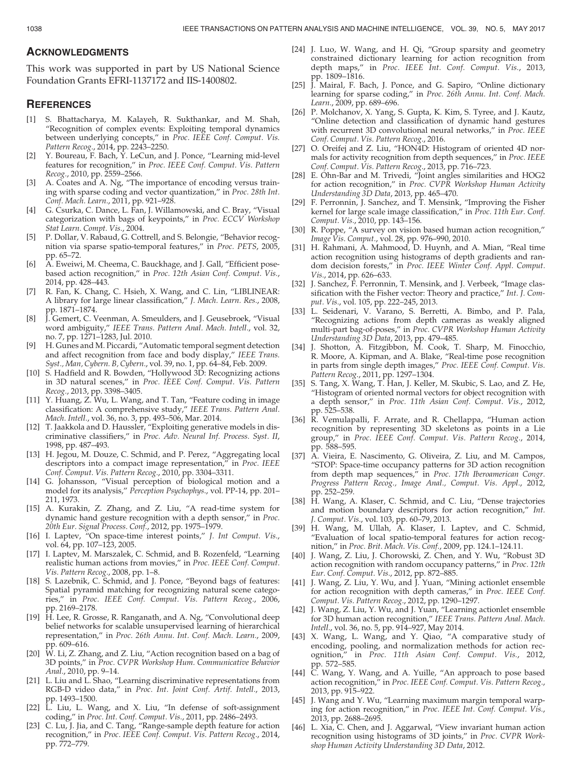## ACKNOWLEDGMENTS

This work was supported in part by US National Science Foundation Grants EFRI-1137172 and IIS-1400802.

## **REFERENCES**

- [1] S. Bhattacharya, M. Kalayeh, R. Sukthankar, and M. Shah, "Recognition of complex events: Exploiting temporal dynamics between underlying concepts," in Proc. IEEE Conf. Comput. Vis. Pattern Recog., 2014, pp. 2243–2250.
- [2] Y. Boureau, F. Bach, Y. LeCun, and J. Ponce, "Learning mid-level features for recognition," in Proc. IEEE Conf. Comput. Vis. Pattern Recog., 2010, pp. 2559–2566.
- [3] A. Coates and A. Ng, "The importance of encoding versus training with sparse coding and vector quantization," in Proc. 28th Int. Conf. Mach. Learn., 2011, pp. 921–928.
- [4] G. Csurka, C. Dance, L. Fan, J. Willamowski, and C. Bray, "Visual categorization with bags of keypoints," in Proc. ECCV Workshop Stat Learn. Compt. Vis., 2004.
- [5] P. Dollar, V. Rabaud, G. Cottrell, and S. Belongie, "Behavior recognition via sparse spatio-temporal features," in Proc. PETS, 2005, pp. 65–72.
- [6] A. Eweiwi, M. Cheema, C. Bauckhage, and J. Gall, "Efficient posebased action recognition," in Proc. 12th Asian Conf. Comput. Vis., 2014, pp. 428–443.
- [7] R. Fan, K. Chang, C. Hsieh, X. Wang, and C. Lin, "LIBLINEAR: A library for large linear classification," J. Mach. Learn. Res., 2008, pp. 1871–1874.
- [8] J. Gemert, C. Veenman, A. Smeulders, and J. Geusebroek, "Visual word ambiguity," IEEE Trans. Pattern Anal. Mach. Intell., vol. 32, no. 7, pp. 1271–1283, Jul. 2010.
- [9] H. Gunes and M. Piccardi, "Automatic temporal segment detection and affect recognition from face and body display," IEEE Trans. Syst., Man, Cybern. B, Cybern., vol. 39, no. 1, pp. 64–84, Feb. 2009.
- [10] S. Hadfield and R. Bowden, "Hollywood 3D: Recognizing actions in 3D natural scenes," in Proc. IEEE Conf. Comput. Vis. Pattern Recog., 2013, pp. 3398–3405.
- [11] Y. Huang, Z. Wu, L. Wang, and T. Tan, "Feature coding in image classification: A comprehensive study," IEEE Trans. Pattern Anal. Mach. Intell., vol. 36, no. 3, pp. 493–506, Mar. 2014.
- [12] T. Jaakkola and D. Haussler, "Exploiting generative models in discriminative classifiers," in Proc. Adv. Neural Inf. Process. Syst. II, 1998, pp. 487–493.
- [13] H. Jegou, M. Douze, C. Schmid, and P. Perez, "Aggregating local descriptors into a compact image representation," in Proc. IEEE Conf. Comput. Vis. Pattern Recog., 2010, pp. 3304–3311.
- [14] G. Johansson, "Visual perception of biological motion and a model for its analysis," Perception Psychophys., vol. PP-14, pp. 201– 211, 1973.
- [15] A. Kurakin, Z. Zhang, and Z. Liu, "A read-time system for dynamic hand gesture recognition with a depth sensor," in Proc. 20th Eur. Signal Process. Conf., 2012, pp. 1975–1979.
- [16] I. Laptev, "On space-time interest points," J. Int Comput. Vis., vol. 64, pp. 107-123, 2005.
- [17] I. Laptev, M. Marszalek, C. Schmid, and B. Rozenfeld, "Learning realistic human actions from movies," in Proc. IEEE Conf. Comput. Vis. Pattern Recog., 2008, pp. 1–8.
- [18] S. Lazebnik, C. Schmid, and J. Ponce, "Beyond bags of features: Spatial pyramid matching for recognizing natural scene categories," in Proc. IEEE Conf. Comput. Vis. Pattern Recog., 2006, pp. 2169–2178.
- [19] H. Lee, R. Grosse, R. Ranganath, and A. Ng, "Convolutional deep belief networks for scalable unsupervised learning of hierarchical representation," in Proc. 26th Annu. Int. Conf. Mach. Learn., 2009, pp. 609–616.
- [20]  $\hat{W}$ . Li, Z. Zhang, and Z. Liu, "Action recognition based on a bag of 3D points," in Proc. CVPR Workshop Hum. Communicative Behavior Anal., 2010, pp. 9–14.
- [21] L. Liu and L. Shao, "Learning discriminative representations from RGB-D video data," in Proc. Int. Joint Conf. Artif. Intell., 2013, pp. 1493–1500.
- [22] L. Liu, L. Wang, and X. Liu, "In defense of soft-assignment coding," in Proc. Int. Conf. Comput. Vis., 2011, pp. 2486–2493.
- [23] C. Lu, J. Jia, and C. Tang, "Range-sample depth feature for action recognition," in Proc. IEEE Conf. Comput. Vis. Pattern Recog., 2014, pp. 772–779.
- [24] J. Luo, W. Wang, and H. Qi, "Group sparsity and geometry constrained dictionary learning for action recognition from depth maps," in Proc. IEEE Int. Conf. Comput. Vis., 2013, pp. 1809–1816.
- [25] J. Mairal, F. Bach, J. Ponce, and G. Sapiro, "Online dictionary learning for sparse coding," in Proc. 26th Annu. Int. Conf. Mach. Learn., 2009, pp. 689–696.
- [26] P. Molchanov, X. Yang, S. Gupta, K. Kim, S. Tyree, and J. Kautz, "Online detection and classification of dynamic hand gestures with recurrent 3D convolutional neural networks," in Proc. IEEE Conf. Comput. Vis. Pattern Recog., 2016.
- [27] O. Oreifej and Z. Liu, "HON4D: Histogram of oriented 4D normals for activity recognition from depth sequences," in Proc. IEEE Conf. Comput. Vis. Pattern Recog., 2013, pp. 716–723.
- [28] E. Ohn-Bar and M. Trivedi, "Joint angles similarities and HOG2 for action recognition," in Proc. CVPR Workshop Human Activity Understanding 3D Data, 2013, pp. 465–470.
- [29] F. Perronnin, J. Sanchez, and T. Mensink, "Improving the Fisher kernel for large scale image classification," in Proc. 11th Eur. Conf. Comput. Vis., 2010, pp. 143–156.
- [30] R. Poppe, "A survey on vision based human action recognition," Image Vis. Comput., vol. 28, pp. 976–990, 2010.
- [31] H. Rahmani, A. Mahmood, D. Huynh, and A. Mian, "Real time action recognition using histograms of depth gradients and random decision forests," in Proc. IEEE Winter Conf. Appl. Comput. Vis., 2014, pp. 626–633.
- [32] J. Sanchez, F. Perronnin, T. Mensink, and J. Verbeek, "Image classification with the Fisher vector: Theory and practice," Int. J. Comput. Vis., vol. 105, pp. 222–245, 2013.
- [33] L. Seidenari, V. Varano, S. Berretti, A. Bimbo, and P. Pala, "Recognizing actions from depth cameras as weakly aligned multi-part bag-of-poses," in Proc. CVPR Workshop Human Activity Understanding 3D Data, 2013, pp. 479–485.
- [34] J. Shotton, A. Fitzgibbon, M. Cook, T. Sharp, M. Finocchio, R. Moore, A. Kipman, and A. Blake, "Real-time pose recognition in parts from single depth images," Proc. IEEE Conf. Comput. Vis. Pattern Recog., 2011, pp. 1297–1304.
- [35] S. Tang, X. Wang, T. Han, J. Keller, M. Skubic, S. Lao, and Z. He, "Histogram of oriented normal vectors for object recognition with a depth sensor," in Proc. 11th Asian Conf. Comput. Vis., 2012, pp. 525–538.
- [36] R. Vemulapalli, F. Arrate, and R. Chellappa, "Human action recognition by representing 3D skeletons as points in a Lie group," in Proc. IEEE Conf. Comput. Vis. Pattern Recog., 2014, pp. 588–595.
- [37] A. Vieira, E. Nascimento, G. Oliveira, Z. Liu, and M. Campos, "STOP: Space-time occupancy patterns for 3D action recognition from depth map sequences," in Proc. 17th Iberoamerican Congr. Progress Pattern Recog., Image Anal., Comput. Vis. Appl., 2012, pp. 252–259.
- [38] H. Wang, A. Klaser, C. Schmid, and C. Liu, "Dense trajectories and motion boundary descriptors for action recognition," Int. J. Comput. Vis., vol. 103, pp. 60–79, 2013.
- [39] H. Wang, M. Ullah, A. Klaser, I. Laptev, and C. Schmid, "Evaluation of local spatio-temporal features for action recognition," in Proc. Brit. Mach. Vis. Conf., 2009, pp. 124.1–124.11.
- [40] J. Wang, Z. Liu, J. Chorowski, Z. Chen, and Y. Wu, "Robust 3D action recognition with random occupancy patterns," in Proc. 12th Eur. Conf. Comput. Vis., 2012, pp. 872–885.
- [41] J. Wang, Z. Liu, Y. Wu, and J. Yuan, "Mining actionlet ensemble for action recognition with depth cameras," in Proc. IEEE Conf. Comput. Vis. Pattern Recog., 2012, pp. 1290–1297.
- [42] J. Wang, Z. Liu, Y. Wu, and J. Yuan, "Learning actionlet ensemble for 3D human action recognition," IEEE Trans. Pattern Anal. Mach. Intell., vol. 36, no. 5, pp. 914–927, May 2014.
- [43] X. Wang, L. Wang, and Y. Qiao, "A comparative study of encoding, pooling, and normalization methods for action recognition," in Proc. 11th Asian Conf. Comput. Vis., 2012, pp. 572–585.
- [44] C. Wang, Y. Wang, and A. Yuille, "An approach to pose based action recognition," in Proc. IEEE Conf. Comput. Vis. Pattern Recog., 2013, pp. 915–922.
- [45] J. Wang and Y. Wu, "Learning maximum margin temporal warping for action recognition," in Proc. IEEE Int. Conf. Comput. Vis., 2013, pp. 2688–2695.
- [46] L. Xia, C. Chen, and J. Aggarwal, "View invariant human action recognition using histograms of 3D joints," in Proc. CVPR Workshop Human Activity Understanding 3D Data, 2012.